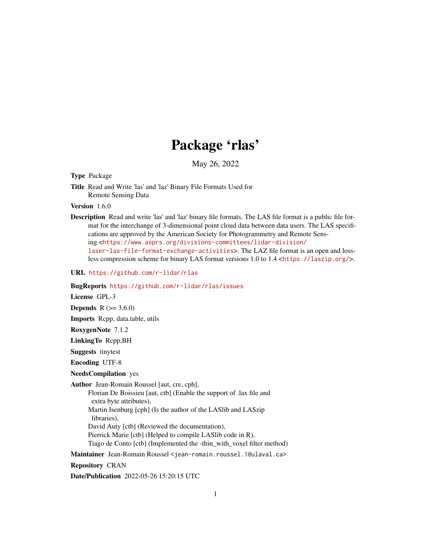# Package 'rlas'

May 26, 2022

Type Package

Title Read and Write 'las' and 'laz' Binary File Formats Used for Remote Sensing Data

Version 1.6.0

Description Read and write 'las' and 'laz' binary file formats. The LAS file format is a public file format for the interchange of 3-dimensional point cloud data between data users. The LAS specifications are approved by the American Society for Photogrammetry and Remote Sensing <[https://www.asprs.org/divisions-committees/lidar-division/](https://www.asprs.org/divisions-committees/lidar-division/laser-las-file-format-exchange-activities) [laser-las-file-format-exchange-activities](https://www.asprs.org/divisions-committees/lidar-division/laser-las-file-format-exchange-activities)>. The LAZ file format is an open and lossless compression scheme for binary LAS format versions 1.0 to 1.4 <<https://laszip.org/>>.

URL <https://github.com/r-lidar/rlas>

BugReports <https://github.com/r-lidar/rlas/issues>

License GPL-3

**Depends**  $R (= 3.6.0)$ 

Imports Rcpp, data.table, utils

RoxygenNote 7.1.2

LinkingTo Rcpp,BH

Suggests tinytest

Encoding UTF-8

# NeedsCompilation yes

Author Jean-Romain Roussel [aut, cre, cph],

Florian De Boissieu [aut, ctb] (Enable the support of .lax file and extra byte attributes),

Martin Isenburg [cph] (Is the author of the LASlib and LASzip libraries),

David Auty [ctb] (Reviewed the documentation),

Pierrick Marie [ctb] (Helped to compile LASlib code in R),

Tiago de Conto [ctb] (Implemented the -thin\_with\_voxel filter method)

Maintainer Jean-Romain Roussel <jean-romain.roussel.1@ulaval.ca>

Repository CRAN

Date/Publication 2022-05-26 15:20:15 UTC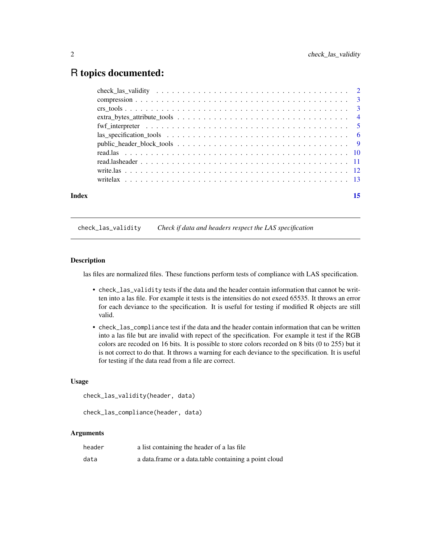# <span id="page-1-0"></span>R topics documented:

| Index | 15 |
|-------|----|
|       |    |
|       |    |
|       |    |
|       |    |
|       |    |
|       |    |
|       |    |
|       |    |
|       |    |
|       |    |
|       |    |

check\_las\_validity *Check if data and headers respect the LAS specification*

# Description

las files are normalized files. These functions perform tests of compliance with LAS specification.

- check\_las\_validity tests if the data and the header contain information that cannot be written into a las file. For example it tests is the intensities do not exeed 65535. It throws an error for each deviance to the specification. It is useful for testing if modified R objects are still valid.
- check\_las\_compliance test if the data and the header contain information that can be written into a las file but are invalid with repect of the specification. For example it test if the RGB colors are recoded on 16 bits. It is possible to store colors recorded on 8 bits (0 to 255) but it is not correct to do that. It throws a warning for each deviance to the specification. It is useful for testing if the data read from a file are correct.

#### Usage

```
check_las_validity(header, data)
```

```
check_las_compliance(header, data)
```
# Arguments

| header | a list containing the header of a las file            |
|--------|-------------------------------------------------------|
| data   | a data frame or a data table containing a point cloud |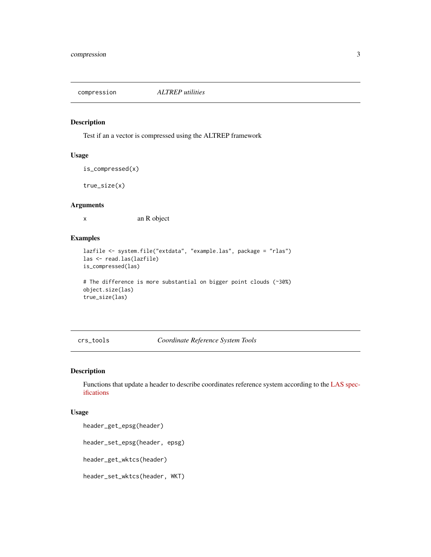<span id="page-2-0"></span>compression *ALTREP utilities*

#### Description

Test if an a vector is compressed using the ALTREP framework

# Usage

```
is_compressed(x)
```
true\_size(x)

# Arguments

x an R object

# Examples

```
lazfile <- system.file("extdata", "example.las", package = "rlas")
las <- read.las(lazfile)
is_compressed(las)
```

```
# The difference is more substantial on bigger point clouds (~30%)
object.size(las)
true_size(las)
```
<span id="page-2-1"></span>crs\_tools *Coordinate Reference System Tools*

# Description

Functions that update a header to describe coordinates reference system according to the [LAS spec](https://www.asprs.org/wp-content/uploads/2019/07/LAS_1_4_r15.pdf)[ifications](https://www.asprs.org/wp-content/uploads/2019/07/LAS_1_4_r15.pdf)

#### Usage

header\_get\_epsg(header)

header\_set\_epsg(header, epsg)

header\_get\_wktcs(header)

header\_set\_wktcs(header, WKT)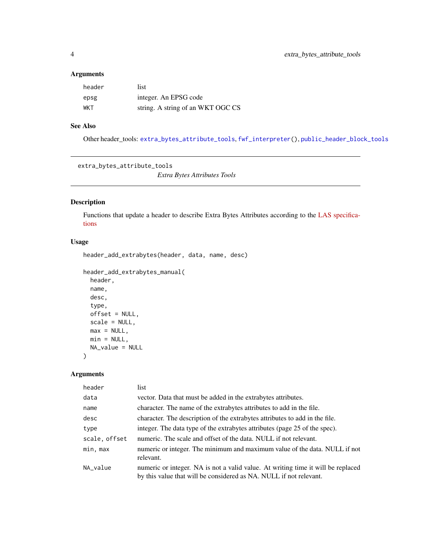# <span id="page-3-0"></span>Arguments

| header | list                              |
|--------|-----------------------------------|
| epsg   | integer. An EPSG code             |
| WKT    | string. A string of an WKT OGC CS |

# See Also

Other header\_tools: [extra\\_bytes\\_attribute\\_tools](#page-3-1), [fwf\\_interpreter\(](#page-4-1)), [public\\_header\\_block\\_tools](#page-8-1)

<span id="page-3-1"></span>extra\_bytes\_attribute\_tools

*Extra Bytes Attributes Tools*

# Description

Functions that update a header to describe Extra Bytes Attributes according to the [LAS specifica](https://www.asprs.org/wp-content/uploads/2019/07/LAS_1_4_r15.pdf)[tions](https://www.asprs.org/wp-content/uploads/2019/07/LAS_1_4_r15.pdf)

# Usage

```
header_add_extrabytes(header, data, name, desc)
```

```
header_add_extrabytes_manual(
 header,
 name,
 desc,
  type,
 offset = NULL,
 scale = NULL,
 max = NULL,min = NULL,NA_value = NULL
\mathcal{L}
```
# Arguments

| header        | list                                                                                                                                                   |
|---------------|--------------------------------------------------------------------------------------------------------------------------------------------------------|
| data          | vector. Data that must be added in the extrabytes attributes.                                                                                          |
| name          | character. The name of the extrabytes attributes to add in the file.                                                                                   |
| desc          | character. The description of the extrabytes attributes to add in the file.                                                                            |
| type          | integer. The data type of the extrabytes attributes (page 25 of the spec).                                                                             |
| scale, offset | numeric. The scale and offset of the data. NULL if not relevant.                                                                                       |
| min, max      | numeric or integer. The minimum and maximum value of the data. NULL if not<br>relevant.                                                                |
| NA_value      | numeric or integer. NA is not a valid value. At writing time it will be replaced<br>by this value that will be considered as NA. NULL if not relevant. |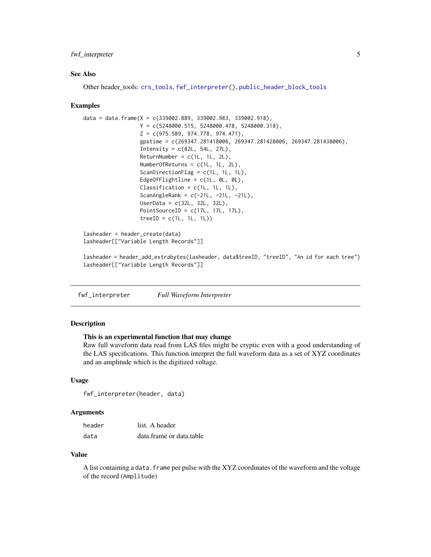# <span id="page-4-0"></span>fwf\_interpreter 5

#### See Also

Other header\_tools: [crs\\_tools](#page-2-1), [fwf\\_interpreter\(](#page-4-1)), [public\\_header\\_block\\_tools](#page-8-1)

#### Examples

```
data = data.frame(X = c(339002.889, 339002.983, 339002.918),
                 Y = c(5248000.515, 5248000.478, 5248000.318),
                 Z = c(975.589, 974.778, 974.471),gpstime = c(269347.281418006, 269347.281428006, 269347.281438006),
                  Intensity = c(82L, 54L, 27L),
                  ReturnNumber = c(1L, 1L, 2L),NumberOfReturns = c(1L, 1L, 2L),
                  ScanDirectionFlag = c(1L, 1L, 1L),
                  EdgeOfFlightline = c(1L, 0L, 0L),
                  Classification = c(1L, 1L, 1L),
                  ScanAngleRank = c(-21L, -21L, -21L),
                  UserData = c(32L, 32L, 32L),
                  PointSourceID = c(17L, 17L, 17L),
                  treeID = c(1L, 1L, 1L))lasheader = header_create(data)
lasheader[["Variable Length Records"]]
```

```
lasheader = header_add_extrabytes(lasheader, data$treeID, "treeID", "An id for each tree")
lasheader[["Variable Length Records"]]
```
<span id="page-4-1"></span>fwf\_interpreter *Full Waveform Interpreter*

# Description

# This is an experimental function that may change

Raw full waveform data read from LAS files might be cryptic even with a good understanding of the LAS specifications. This function interpret the full waveform data as a set of XYZ coordinates and an amplitude which is the digitized voltage.

# Usage

fwf\_interpreter(header, data)

# Arguments

| header | list. A header           |
|--------|--------------------------|
| data   | data.frame or data.table |

#### Value

A list containing a data. frame per pulse with the XYZ coordinates of the waveform and the voltage of the record (Amplitude)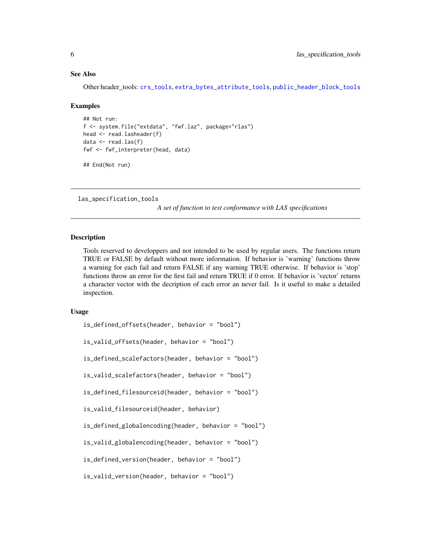#### <span id="page-5-0"></span>See Also

Other header\_tools: [crs\\_tools](#page-2-1). [extra\\_bytes\\_attribute\\_tools](#page-3-1). [public\\_header\\_block\\_tools](#page-8-1)

#### Examples

```
## Not run:
f <- system.file("extdata", "fwf.laz", package="rlas")
head <- read.lasheader(f)
data <- read.las(f)
fwf <- fwf_interpreter(head, data)
```
## End(Not run)

las\_specification\_tools

*A set of function to test conformance with LAS specifications*

#### Description

Tools reserved to developpers and not intended to be used by regular users. The functions return TRUE or FALSE by default without more information. If behavior is 'warning' functions throw a warning for each fail and return FALSE if any warning TRUE otherwise. If behavior is 'stop' functions throw an error for the first fail and return TRUE if 0 error. If behavior is 'vector' returns a character vector with the decription of each error an never fail. Is it useful to make a detailed inspection.

#### Usage

```
is_defined_offsets(header, behavior = "bool")
is_valid_offsets(header, behavior = "bool")
is_defined_scalefactors(header, behavior = "bool")
is_valid_scalefactors(header, behavior = "bool")
is_defined_filesourceid(header, behavior = "bool")
is_valid_filesourceid(header, behavior)
is_defined_globalencoding(header, behavior = "bool")
is_valid_globalencoding(header, behavior = "bool")
is_defined_version(header, behavior = "bool")
```

```
is_valid_version(header, behavior = "bool")
```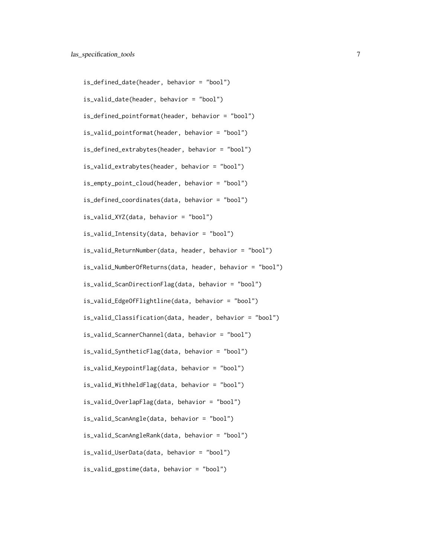is\_defined\_date(header, behavior = "bool") is\_valid\_date(header, behavior = "bool") is\_defined\_pointformat(header, behavior = "bool") is\_valid\_pointformat(header, behavior = "bool") is\_defined\_extrabytes(header, behavior = "bool") is\_valid\_extrabytes(header, behavior = "bool") is\_empty\_point\_cloud(header, behavior = "bool") is\_defined\_coordinates(data, behavior = "bool") is\_valid\_XYZ(data, behavior = "bool") is\_valid\_Intensity(data, behavior = "bool") is\_valid\_ReturnNumber(data, header, behavior = "bool") is\_valid\_NumberOfReturns(data, header, behavior = "bool") is\_valid\_ScanDirectionFlag(data, behavior = "bool") is\_valid\_EdgeOfFlightline(data, behavior = "bool") is\_valid\_Classification(data, header, behavior = "bool") is\_valid\_ScannerChannel(data, behavior = "bool") is\_valid\_SyntheticFlag(data, behavior = "bool") is\_valid\_KeypointFlag(data, behavior = "bool") is\_valid\_WithheldFlag(data, behavior = "bool") is\_valid\_OverlapFlag(data, behavior = "bool") is\_valid\_ScanAngle(data, behavior = "bool") is\_valid\_ScanAngleRank(data, behavior = "bool") is\_valid\_UserData(data, behavior = "bool") is\_valid\_gpstime(data, behavior = "bool")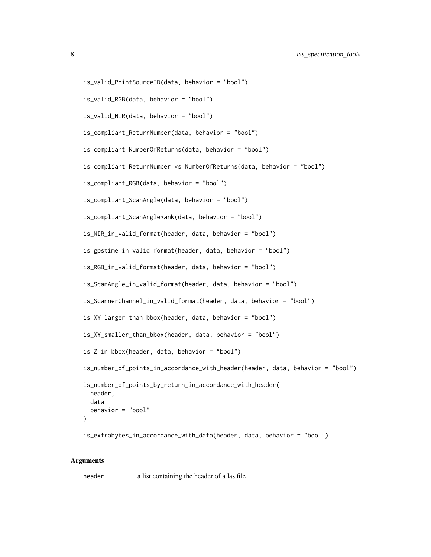```
is_valid_PointSourceID(data, behavior = "bool")
```

```
is_valid_RGB(data, behavior = "bool")
```

```
is_valid_NIR(data, behavior = "bool")
```

```
is_compliant_ReturnNumber(data, behavior = "bool")
```

```
is_compliant_NumberOfReturns(data, behavior = "bool")
```

```
is_compliant_ReturnNumber_vs_NumberOfReturns(data, behavior = "bool")
```
is\_compliant\_RGB(data, behavior = "bool")

is\_compliant\_ScanAngle(data, behavior = "bool")

```
is_compliant_ScanAngleRank(data, behavior = "bool")
```

```
is_NIR_in_valid_format(header, data, behavior = "bool")
```
is\_gpstime\_in\_valid\_format(header, data, behavior = "bool")

is\_RGB\_in\_valid\_format(header, data, behavior = "bool")

is\_ScanAngle\_in\_valid\_format(header, data, behavior = "bool")

is\_ScannerChannel\_in\_valid\_format(header, data, behavior = "bool")

```
is_XY_larger_than_bbox(header, data, behavior = "bool")
```
is\_XY\_smaller\_than\_bbox(header, data, behavior = "bool")

```
is_Z_in_bbox(header, data, behavior = "bool")
```

```
is_number_of_points_in_accordance_with_header(header, data, behavior = "bool")
```

```
is_number_of_points_by_return_in_accordance_with_header(
  header,
  data,
 behavior = "bool"
)
```
is\_extrabytes\_in\_accordance\_with\_data(header, data, behavior = "bool")

# Arguments

header a list containing the header of a las file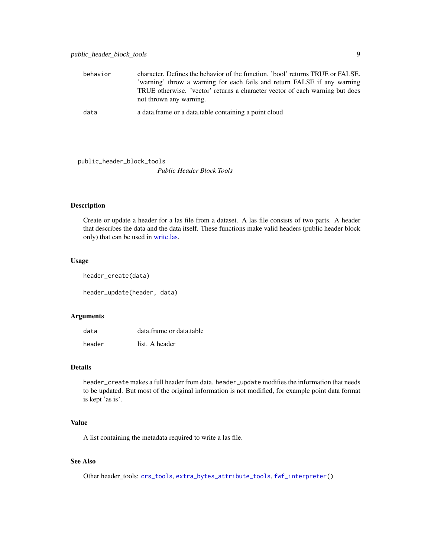<span id="page-8-0"></span>

| behavior | character. Defines the behavior of the function. 'bool' returns TRUE or FALSE.<br>'warning' throw a warning for each fails and return FALSE if any warning<br>TRUE otherwise. 'vector' returns a character vector of each warning but does<br>not thrown any warning. |
|----------|-----------------------------------------------------------------------------------------------------------------------------------------------------------------------------------------------------------------------------------------------------------------------|
| data     | a data frame or a data table containing a point cloud                                                                                                                                                                                                                 |

<span id="page-8-1"></span>public\_header\_block\_tools

*Public Header Block Tools*

# <span id="page-8-2"></span>Description

Create or update a header for a las file from a dataset. A las file consists of two parts. A header that describes the data and the data itself. These functions make valid headers (public header block only) that can be used in [write.las.](#page-11-1)

#### Usage

header\_create(data)

header\_update(header, data)

### Arguments

| data   | data.frame or data.table |
|--------|--------------------------|
| header | list. A header           |

# Details

header\_create makes a full header from data. header\_update modifies the information that needs to be updated. But most of the original information is not modified, for example point data format is kept 'as is'.

# Value

A list containing the metadata required to write a las file.

# See Also

Other header\_tools: [crs\\_tools](#page-2-1), [extra\\_bytes\\_attribute\\_tools](#page-3-1), [fwf\\_interpreter\(](#page-4-1))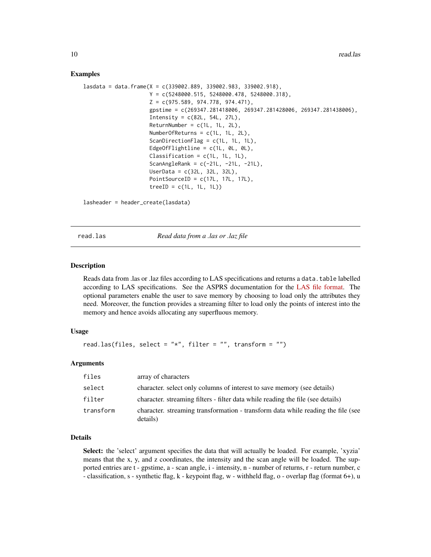#### Examples

```
lasdata = data.frame(X = c(339002.889, 339002.983, 339002.918),
                     Y = c(5248000.515, 5248000.478, 5248000.318),
                     Z = c(975.589, 974.778, 974.471),
                     gpstime = c(269347.281418006, 269347.281428006, 269347.281438006),
                     Intensity = c(82L, 54L, 27L),
                     ReturnNumber = c(1L, 1L, 2L),NumberOfReturns = c(1L, 1L, 2L),
                     ScanDirectionFlag = c(1L, 1L, 1L),
                     EdgeOfFlightline = c(1L, 0L, 0L),
                     Classification = c(1L, 1L, 1L),
                     ScanAngleRank = c(-21L, -21L, -21L),
                     UserData = c(32L, 32L, 32L),
                     PointSourceID = c(17L, 17L, 17L),
                     treeID = c(1L, 1L, 1L))
```
lasheader = header\_create(lasdata)

read.las *Read data from a .las or .laz file*

### Description

Reads data from .las or .laz files according to LAS specifications and returns a data.table labelled according to LAS specifications. See the ASPRS documentation for the [LAS file format.](https://www.asprs.org/wp-content/uploads/2019/07/LAS_1_4_r15.pdf) The optional parameters enable the user to save memory by choosing to load only the attributes they need. Moreover, the function provides a streaming filter to load only the points of interest into the memory and hence avoids allocating any superfluous memory.

#### Usage

```
read.las(files, select = "*", filter = "", transform = "")
```
#### Arguments

| files     | array of characters                                                                          |
|-----------|----------------------------------------------------------------------------------------------|
| select    | character, select only columns of interest to save memory (see details)                      |
| filter    | character, streaming filters - filter data while reading the file (see details)              |
| transform | character, streaming transformation - transform data while reading the file (see<br>details) |

### Details

Select: the 'select' argument specifies the data that will actually be loaded. For example, 'xyzia' means that the x, y, and z coordinates, the intensity and the scan angle will be loaded. The supported entries are t - gpstime, a - scan angle, i - intensity, n - number of returns, r - return number, c - classification, s - synthetic flag, k - keypoint flag, w - withheld flag, o - overlap flag (format 6+), u

<span id="page-9-0"></span>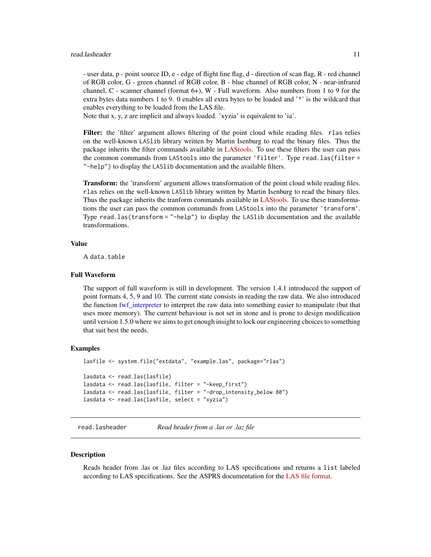#### <span id="page-10-0"></span>read.lasheader 11

- user data, p - point source ID, e - edge of flight line flag, d - direction of scan flag, R - red channel of RGB color, G - green channel of RGB color, B - blue channel of RGB color, N - near-infrared channel,  $C$  - scanner channel (format  $6+$ ),  $W$  - Full waveform. Also numbers from 1 to 9 for the extra bytes data numbers 1 to 9. 0 enables all extra bytes to be loaded and '\*' is the wildcard that enables everything to be loaded from the LAS file.

Note that x, y, z are implicit and always loaded. 'xyzia' is equivalent to 'ia'.

Filter: the 'filter' argument allows filtering of the point cloud while reading files. rlas relies on the well-known LASlib library written by Martin Isenburg to read the binary files. Thus the package inherits the filter commands available in [LAStools.](https://rapidlasso.com/lastools/) To use these filters the user can pass the common commands from LAStools into the parameter 'filter'. Type read.las(filter = "-help") to display the LASlib documentation and the available filters.

**Transform:** the 'transform' argument allows transformation of the point cloud while reading files. rlas relies on the well-known LASlib library written by Martin Isenburg to read the binary files. Thus the package inherits the tranform commands available in [LAStools.](https://rapidlasso.com/lastools/) To use these transformations the user can pass the common commands from LAStools into the parameter 'transform'. Type read.las(transform = "-help") to display the LASlib documentation and the available transformations.

# Value

A data.table

# Full Waveform

The support of full waveform is still in development. The version 1.4.1 introduced the support of point formats 4, 5, 9 and 10. The current state consists in reading the raw data. We also introduced the function [fwf\\_interpreter](#page-4-1) to interpret the raw data into something easier to manipulate (but that uses more memory). The current behaviour is not set in stone and is prone to design modification until version 1.5.0 where we aims to get enough insight to lock our engineering choices to something that suit best the needs.

### Examples

```
lasfile <- system.file("extdata", "example.las", package="rlas")
lasdata <- read.las(lasfile)
lasdata <- read.las(lasfile, filter = "-keep_first")
lasdata <- read.las(lasfile, filter = "-drop_intensity_below 80")
lasdata <- read.las(lasfile, select = "xyzia")
```
<span id="page-10-1"></span>read.lasheader *Read header from a .las or .laz file*

#### **Description**

Reads header from .las or .laz files according to LAS specifications and returns a list labeled according to LAS specifications. See the ASPRS documentation for the [LAS file format.](https://www.asprs.org/wp-content/uploads/2019/07/LAS_1_4_r15.pdf)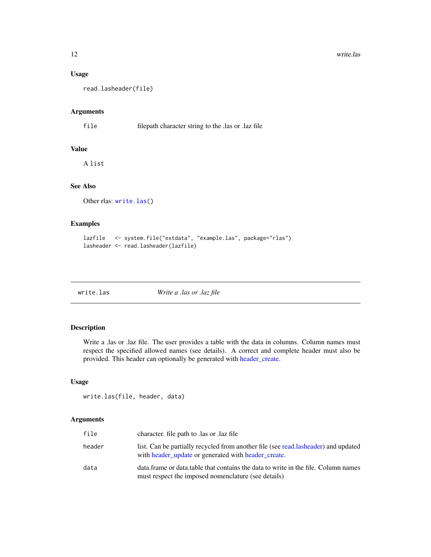# Usage

read.lasheader(file)

#### Arguments

file filepath character string to the .las or .laz file

# Value

A list

# See Also

Other rlas: [write.las\(](#page-11-1))

# Examples

```
lazfile <- system.file("extdata", "example.las", package="rlas")
lasheader <- read.lasheader(lazfile)
```
<span id="page-11-1"></span>

| write.las |  |  |
|-----------|--|--|
|           |  |  |

write.las *Write a .las or .laz file*

# Description

Write a .las or .laz file. The user provides a table with the data in columns. Column names must respect the specified allowed names (see details). A correct and complete header must also be provided. This header can optionally be generated with [header\\_create.](#page-8-2)

#### Usage

```
write.las(file, header, data)
```
# Arguments

| file   | character. file path to las or laz file                                                                                                   |
|--------|-------------------------------------------------------------------------------------------------------------------------------------------|
| header | list. Can be partially recycled from another file (see read.lasheader) and updated<br>with header update or generated with header create. |
| data   | data frame or data table that contains the data to write in the file. Column names<br>must respect the imposed nomenclature (see details) |

<span id="page-11-0"></span>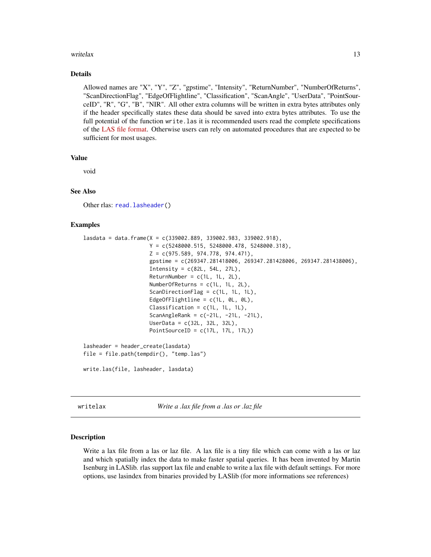#### <span id="page-12-0"></span>writelax 13

#### Details

Allowed names are "X", "Y", "Z", "gpstime", "Intensity", "ReturnNumber", "NumberOfReturns", "ScanDirectionFlag", "EdgeOfFlightline", "Classification", "ScanAngle", "UserData", "PointSourceID", "R", "G", "B", "NIR". All other extra columns will be written in extra bytes attributes only if the header specifically states these data should be saved into extra bytes attributes. To use the full potential of the function write.las it is recommended users read the complete specifications of the [LAS file format.](https://www.asprs.org/wp-content/uploads/2019/07/LAS_1_4_r15.pdf) Otherwise users can rely on automated procedures that are expected to be sufficient for most usages.

# Value

void

# See Also

Other rlas: [read.lasheader\(](#page-10-1))

# Examples

```
lasta = data.frame(X = c(339002.889, 339002.983, 339002.918),Y = c(5248000.515, 5248000.478, 5248000.318),
                     Z = c(975.589, 974.778, 974.471),gpstime = c(269347.281418006, 269347.281428006, 269347.281438006),
                     Intensity = c(82L, 54L, 27L),
                     ReturnNumber = c(1L, 1L, 2L),
                     NumberOfReturns = c(1L, 1L, 2L),
                     ScanDirectionFlag = c(1L, 1L, 1L),
                     EdgeOfFlightline = c(1L, 0L, 0L),
                     Classification = c(1L, 1L, 1L),
                     ScanAngleRank = c(-21L, -21L, -21L),
                     UserData = c(32L, 32L, 32L),
                     PointSourceID = c(17L, 17L, 17L))
lasheader = header_create(lasdata)
file = file.path(tempdir(), "temp.las")
write.las(file, lasheader, lasdata)
```
writelax *Write a .lax file from a .las or .laz file*

#### Description

Write a lax file from a las or laz file. A lax file is a tiny file which can come with a las or laz and which spatially index the data to make faster spatial queries. It has been invented by Martin Isenburg in LASlib. rlas support lax file and enable to write a lax file with default settings. For more options, use lasindex from binaries provided by LASlib (for more informations see references)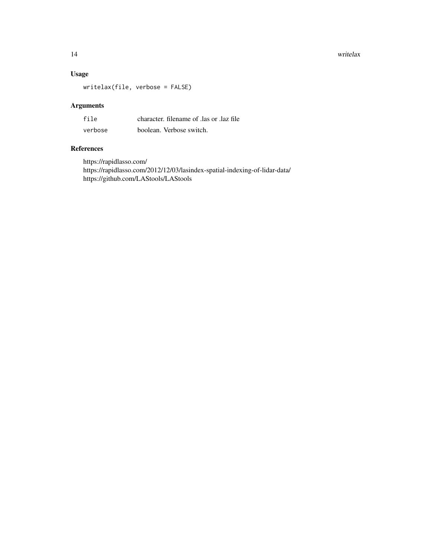14 writelax

# Usage

writelax(file, verbose = FALSE)

# Arguments

| file    | character. filename of las or laz file |
|---------|----------------------------------------|
| verbose | boolean. Verbose switch.               |

# References

https://rapidlasso.com/ https://rapidlasso.com/2012/12/03/lasindex-spatial-indexing-of-lidar-data/ https://github.com/LAStools/LAStools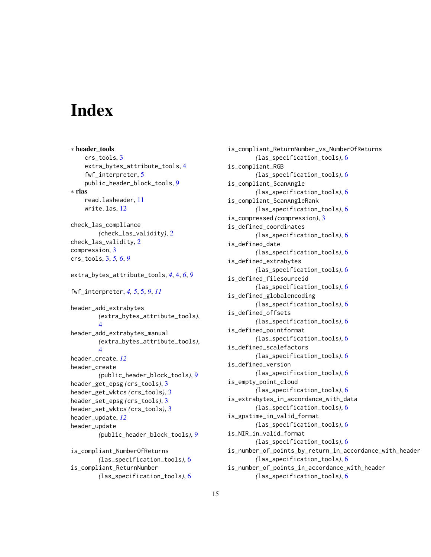# <span id="page-14-0"></span>**Index**

∗ header\_tools crs\_tools, [3](#page-2-0) extra\_bytes\_attribute\_tools, [4](#page-3-0) fwf\_interpreter, [5](#page-4-0) public\_header\_block\_tools, [9](#page-8-0) ∗ rlas read.lasheader, [11](#page-10-0) write.las, [12](#page-11-0) check\_las\_compliance *(*check\_las\_validity*)*, [2](#page-1-0) check\_las\_validity, [2](#page-1-0) compression, [3](#page-2-0) crs\_tools, [3,](#page-2-0) *[5,](#page-4-0) [6](#page-5-0)*, *[9](#page-8-0)* extra\_bytes\_attribute\_tools, *[4](#page-3-0)*, [4,](#page-3-0) *[6](#page-5-0)*, *[9](#page-8-0)* fwf\_interpreter, *[4,](#page-3-0) [5](#page-4-0)*, [5,](#page-4-0) *[9](#page-8-0)*, *[11](#page-10-0)* header\_add\_extrabytes *(*extra\_bytes\_attribute\_tools*)*, [4](#page-3-0) header\_add\_extrabytes\_manual *(*extra\_bytes\_attribute\_tools*)*, [4](#page-3-0) header\_create, *[12](#page-11-0)* header\_create *(*public\_header\_block\_tools*)*, [9](#page-8-0) header\_get\_epsg *(*crs\_tools*)*, [3](#page-2-0) header\_get\_wktcs *(*crs\_tools*)*, [3](#page-2-0) header\_set\_epsg *(*crs\_tools*)*, [3](#page-2-0) header\_set\_wktcs *(*crs\_tools*)*, [3](#page-2-0) header\_update, *[12](#page-11-0)* header\_update *(*public\_header\_block\_tools*)*, [9](#page-8-0) is\_compliant\_NumberOfReturns *(*las\_specification\_tools*)*, [6](#page-5-0) is\_compliant\_ReturnNumber *(*las\_specification\_tools*)*, [6](#page-5-0)

is\_compliant\_ReturnNumber\_vs\_NumberOfReturns *(*las\_specification\_tools*)*, [6](#page-5-0) is\_compliant\_RGB *(*las\_specification\_tools*)*, [6](#page-5-0) is\_compliant\_ScanAngle *(*las\_specification\_tools*)*, [6](#page-5-0) is\_compliant\_ScanAngleRank *(*las\_specification\_tools*)*, [6](#page-5-0) is\_compressed *(*compression*)*, [3](#page-2-0) is\_defined\_coordinates *(*las\_specification\_tools*)*, [6](#page-5-0) is\_defined\_date *(*las\_specification\_tools*)*, [6](#page-5-0) is\_defined\_extrabytes *(*las\_specification\_tools*)*, [6](#page-5-0) is\_defined\_filesourceid *(*las\_specification\_tools*)*, [6](#page-5-0) is\_defined\_globalencoding *(*las\_specification\_tools*)*, [6](#page-5-0) is\_defined\_offsets *(*las\_specification\_tools*)*, [6](#page-5-0) is\_defined\_pointformat *(*las\_specification\_tools*)*, [6](#page-5-0) is\_defined\_scalefactors *(*las\_specification\_tools*)*, [6](#page-5-0) is\_defined\_version *(*las\_specification\_tools*)*, [6](#page-5-0) is\_empty\_point\_cloud *(*las\_specification\_tools*)*, [6](#page-5-0) is\_extrabytes\_in\_accordance\_with\_data *(*las\_specification\_tools*)*, [6](#page-5-0) is\_gpstime\_in\_valid\_format *(*las\_specification\_tools*)*, [6](#page-5-0) is\_NIR\_in\_valid\_format *(*las\_specification\_tools*)*, [6](#page-5-0) is\_number\_of\_points\_by\_return\_in\_accordance\_with\_header *(*las\_specification\_tools*)*, [6](#page-5-0) is\_number\_of\_points\_in\_accordance\_with\_header *(*las\_specification\_tools*)*, [6](#page-5-0)